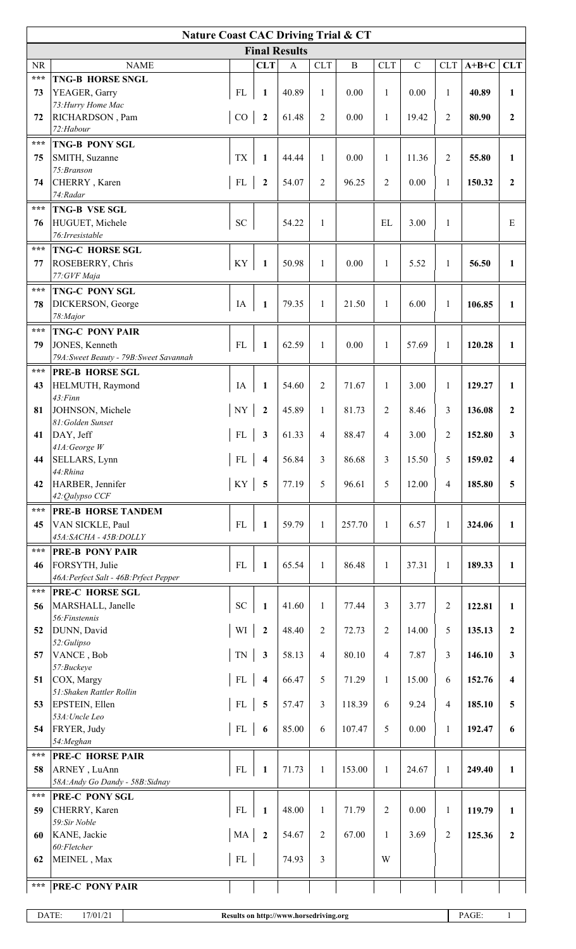| <b>Final Results</b><br><b>CLT</b><br><b>CLT</b><br>$\, {\bf B}$<br><b>CLT</b><br>$\mathbf C$<br><b>CLT</b><br><b>NR</b><br><b>NAME</b><br>$A+B+C$<br>$\mathbf{A}$<br>***<br><b>TNG-B HORSE SNGL</b><br>FL<br>73<br>YEAGER, Garry<br>40.89<br>0.00<br>0.00<br>40.89<br>1<br>1<br>1<br>1<br>1<br>73: Hurry Home Mac<br>RICHARDSON, Pam<br>CO<br>$\overline{2}$<br>61.48<br>$\mathfrak{2}$<br>0.00<br>19.42<br>2<br>80.90<br>72<br>1<br>$\overline{2}$<br>72:Habour<br>$\star\star\star$<br><b>TNG-B PONY SGL</b><br><b>TX</b><br>$\overline{2}$<br>75<br>SMITH, Suzanne<br>$\mathbf{1}$<br>44.44<br>$\mathbf{1}$<br>0.00<br>11.36<br>55.80<br>1<br>1<br>75: Branson<br>CHERRY, Karen<br>FL<br>$\overline{2}$<br>74<br>$\boldsymbol{2}$<br>54.07<br>96.25<br>2<br>0.00<br>$\mathbf{1}$<br>150.32<br>$\overline{2}$<br>74:Radar<br>$***$<br>TNG-B VSE SGL<br><b>SC</b><br>HUGUET, Michele<br>54.22<br>$\mathbf{1}$<br>EL<br>3.00<br>1<br>E<br>76<br>76: Irresistable<br>$\star\star\star$<br><b>TNG-C HORSE SGL</b><br>KY<br>50.98<br>$\mathbf{1}$<br>56.50<br>77<br>ROSEBERRY, Chris<br>$\mathbf{1}$<br>0.00<br>$\mathbf{1}$<br>5.52<br>$\mathbf{1}$<br>1<br>77: GVF Maja<br>$***$<br>TNG-C PONY SGL<br>IA<br>78<br>DICKERSON, George<br>$\mathbf{1}$<br>79.35<br>$\mathbf{1}$<br>21.50<br>6.00<br>$\mathbf{1}$<br>106.85<br>1<br>1<br>78: Major<br>$***$<br><b>TNG-C PONY PAIR</b><br>FL<br>JONES, Kenneth<br>62.59<br>0.00<br>120.28<br>79<br>1<br>$\mathbf{1}$<br>1<br>57.69<br>$\mathbf{1}$<br>$\mathbf{1}$<br>79A: Sweet Beauty - 79B: Sweet Savannah<br>***<br><b>PRE-B HORSE SGL</b><br>HELMUTH, Raymond<br>IA<br>$\boldsymbol{2}$<br>43<br>1<br>54.60<br>71.67<br>3.00<br>$\mathbf{1}$<br>129.27<br>1<br>1<br>43: Finn<br>JOHNSON, Michele<br>$\ensuremath{\text{NY}}$<br>$\boldsymbol{2}$<br>45.89<br>$\overline{c}$<br>81<br>$\mathbf{1}$<br>81.73<br>8.46<br>3<br>136.08<br>$\mathbf{2}$<br>81: Golden Sunset<br>DAY, Jeff<br>3<br>88.47<br>41<br>FL<br>61.33<br>4<br>4<br>3.00<br>2<br>152.80<br>3<br>$41A$ : George W<br>FL<br>SELLARS, Lynn<br>56.84<br>3<br>86.68<br>3<br>15.50<br>5<br>159.02<br>44<br>$\overline{\mathbf{4}}$<br>4<br>44:Rhina<br>KY<br>5<br>5<br>HARBER, Jennifer<br>77.19<br>96.61<br>5<br>42<br>12.00<br>4<br>185.80<br>5<br>42:Qalypso CCF<br>$\star\star\star$<br><b>PRE-B HORSE TANDEM</b><br>FL<br>VAN SICKLE, Paul<br>$\mathbf{1}$<br>59.79<br>45<br>$\mathbf{1}$<br>257.70<br>6.57<br>$\mathbf{1}$<br>324.06<br>$\mathbf{1}$<br>1<br>45A:SACHA - 45B:DOLLY<br>***<br><b>PRE-B PONY PAIR</b><br>FL<br>FORSYTH, Julie<br>65.54<br>$\mathbf{1}$<br>86.48<br>37.31<br>$\mathbf{1}$<br>$\mathbf{1}$<br>189.33<br>46<br>1<br>1<br>46A: Perfect Salt - 46B: Prfect Pepper<br>***<br>PRE-C HORSE SGL<br>SC<br>41.60<br>3<br>MARSHALL, Janelle<br>$\mathbf{1}$<br>77.44<br>3.77<br>2<br>122.81<br>56<br>1<br>1<br>56: Finstennis<br>WI<br>$\sqrt{2}$<br>DUNN, David<br>48.40<br>$\overline{c}$<br>5<br>$\boldsymbol{2}$<br>72.73<br>14.00<br>52<br>135.13<br>$\mathbf{2}$<br>52: Gulipso<br><b>TN</b><br>VANCE, Bob<br>$\mathbf{3}$<br>58.13<br>$\overline{4}$<br>80.10<br>7.87<br>3<br>146.10<br>57<br>$\overline{4}$<br>$\mathbf{3}$<br>57:Buckeye<br>FL<br>COX, Margy<br>$\mathfrak{S}$<br>66.47<br>71.29<br>15.00<br>6<br>51<br>$\overline{\mathbf{4}}$<br>1<br>152.76<br>$\overline{\mathbf{4}}$<br>51: Shaken Rattler Rollin<br>$\overline{3}$<br>EPSTEIN, Ellen<br>FL<br>5<br>53<br>57.47<br>118.39<br>6<br>9.24<br>4<br>185.10<br>5<br>53A: Uncle Leo<br>${\rm FL}$<br>FRYER, Judy<br>85.00<br>6<br>107.47<br>5<br>0.00<br>192.47<br>54<br>6<br>$\mathbf{1}$<br>6<br>54: Meghan<br>***<br><b>PRE-C HORSE PAIR</b><br>FL<br>ARNEY, LuAnn<br>71.73<br>$\mathbf{1}$<br>58<br>153.00<br>$\mathbf{1}$<br>24.67<br>$\mathbf{1}$<br>249.40<br>1<br>1<br>58A: Andy Go Dandy - 58B: Sidnay<br>$\star\star\star$<br>PRE-C PONY SGL<br>FL<br>48.00<br>$\overline{c}$<br>0.00<br>CHERRY, Karen<br>$\mathbf{1}$<br>71.79<br>$\mathbf{1}$<br>119.79<br>59<br>$\mathbf{1}$<br>1<br>59:Sir Noble<br>MA<br>KANE, Jackie<br>$\boldsymbol{2}$<br>$\sqrt{2}$<br>67.00<br>$\overline{2}$<br>125.36<br>60<br>54.67<br>3.69<br>$\mathbf{2}$<br>1<br>60:Fletcher<br>$\mathfrak{Z}$<br>MEINEL, Max<br>${\rm FL}$<br>62<br>74.93<br>W<br>***<br><b>PRE-C PONY PAIR</b> | <b>Nature Coast CAC Driving Trial &amp; CT</b> |  |  |  |  |  |  |  |  |  |  |            |
|-------------------------------------------------------------------------------------------------------------------------------------------------------------------------------------------------------------------------------------------------------------------------------------------------------------------------------------------------------------------------------------------------------------------------------------------------------------------------------------------------------------------------------------------------------------------------------------------------------------------------------------------------------------------------------------------------------------------------------------------------------------------------------------------------------------------------------------------------------------------------------------------------------------------------------------------------------------------------------------------------------------------------------------------------------------------------------------------------------------------------------------------------------------------------------------------------------------------------------------------------------------------------------------------------------------------------------------------------------------------------------------------------------------------------------------------------------------------------------------------------------------------------------------------------------------------------------------------------------------------------------------------------------------------------------------------------------------------------------------------------------------------------------------------------------------------------------------------------------------------------------------------------------------------------------------------------------------------------------------------------------------------------------------------------------------------------------------------------------------------------------------------------------------------------------------------------------------------------------------------------------------------------------------------------------------------------------------------------------------------------------------------------------------------------------------------------------------------------------------------------------------------------------------------------------------------------------------------------------------------------------------------------------------------------------------------------------------------------------------------------------------------------------------------------------------------------------------------------------------------------------------------------------------------------------------------------------------------------------------------------------------------------------------------------------------------------------------------------------------------------------------------------------------------------------------------------------------------------------------------------------------------------------------------------------------------------------------------------------------------------------------------------------------------------------------------------------------------------------------------------------------------------------------------------------------------------------------------------------------------------------------------------------------------------------------------------------------------------------------------------------------------------------------------------------------------------------------------------------------------------------------------------------------------------------------------------------------------------------------------------------------------------------------------------------------------------------------------------------------------------------------------------------------------------------------------------------------------------------------------------------------------------------------|------------------------------------------------|--|--|--|--|--|--|--|--|--|--|------------|
|                                                                                                                                                                                                                                                                                                                                                                                                                                                                                                                                                                                                                                                                                                                                                                                                                                                                                                                                                                                                                                                                                                                                                                                                                                                                                                                                                                                                                                                                                                                                                                                                                                                                                                                                                                                                                                                                                                                                                                                                                                                                                                                                                                                                                                                                                                                                                                                                                                                                                                                                                                                                                                                                                                                                                                                                                                                                                                                                                                                                                                                                                                                                                                                                                                                                                                                                                                                                                                                                                                                                                                                                                                                                                                                                                                                                                                                                                                                                                                                                                                                                                                                                                                                                                                                                                     |                                                |  |  |  |  |  |  |  |  |  |  |            |
|                                                                                                                                                                                                                                                                                                                                                                                                                                                                                                                                                                                                                                                                                                                                                                                                                                                                                                                                                                                                                                                                                                                                                                                                                                                                                                                                                                                                                                                                                                                                                                                                                                                                                                                                                                                                                                                                                                                                                                                                                                                                                                                                                                                                                                                                                                                                                                                                                                                                                                                                                                                                                                                                                                                                                                                                                                                                                                                                                                                                                                                                                                                                                                                                                                                                                                                                                                                                                                                                                                                                                                                                                                                                                                                                                                                                                                                                                                                                                                                                                                                                                                                                                                                                                                                                                     |                                                |  |  |  |  |  |  |  |  |  |  | <b>CLT</b> |
|                                                                                                                                                                                                                                                                                                                                                                                                                                                                                                                                                                                                                                                                                                                                                                                                                                                                                                                                                                                                                                                                                                                                                                                                                                                                                                                                                                                                                                                                                                                                                                                                                                                                                                                                                                                                                                                                                                                                                                                                                                                                                                                                                                                                                                                                                                                                                                                                                                                                                                                                                                                                                                                                                                                                                                                                                                                                                                                                                                                                                                                                                                                                                                                                                                                                                                                                                                                                                                                                                                                                                                                                                                                                                                                                                                                                                                                                                                                                                                                                                                                                                                                                                                                                                                                                                     |                                                |  |  |  |  |  |  |  |  |  |  |            |
|                                                                                                                                                                                                                                                                                                                                                                                                                                                                                                                                                                                                                                                                                                                                                                                                                                                                                                                                                                                                                                                                                                                                                                                                                                                                                                                                                                                                                                                                                                                                                                                                                                                                                                                                                                                                                                                                                                                                                                                                                                                                                                                                                                                                                                                                                                                                                                                                                                                                                                                                                                                                                                                                                                                                                                                                                                                                                                                                                                                                                                                                                                                                                                                                                                                                                                                                                                                                                                                                                                                                                                                                                                                                                                                                                                                                                                                                                                                                                                                                                                                                                                                                                                                                                                                                                     |                                                |  |  |  |  |  |  |  |  |  |  |            |
|                                                                                                                                                                                                                                                                                                                                                                                                                                                                                                                                                                                                                                                                                                                                                                                                                                                                                                                                                                                                                                                                                                                                                                                                                                                                                                                                                                                                                                                                                                                                                                                                                                                                                                                                                                                                                                                                                                                                                                                                                                                                                                                                                                                                                                                                                                                                                                                                                                                                                                                                                                                                                                                                                                                                                                                                                                                                                                                                                                                                                                                                                                                                                                                                                                                                                                                                                                                                                                                                                                                                                                                                                                                                                                                                                                                                                                                                                                                                                                                                                                                                                                                                                                                                                                                                                     |                                                |  |  |  |  |  |  |  |  |  |  |            |
|                                                                                                                                                                                                                                                                                                                                                                                                                                                                                                                                                                                                                                                                                                                                                                                                                                                                                                                                                                                                                                                                                                                                                                                                                                                                                                                                                                                                                                                                                                                                                                                                                                                                                                                                                                                                                                                                                                                                                                                                                                                                                                                                                                                                                                                                                                                                                                                                                                                                                                                                                                                                                                                                                                                                                                                                                                                                                                                                                                                                                                                                                                                                                                                                                                                                                                                                                                                                                                                                                                                                                                                                                                                                                                                                                                                                                                                                                                                                                                                                                                                                                                                                                                                                                                                                                     |                                                |  |  |  |  |  |  |  |  |  |  |            |
|                                                                                                                                                                                                                                                                                                                                                                                                                                                                                                                                                                                                                                                                                                                                                                                                                                                                                                                                                                                                                                                                                                                                                                                                                                                                                                                                                                                                                                                                                                                                                                                                                                                                                                                                                                                                                                                                                                                                                                                                                                                                                                                                                                                                                                                                                                                                                                                                                                                                                                                                                                                                                                                                                                                                                                                                                                                                                                                                                                                                                                                                                                                                                                                                                                                                                                                                                                                                                                                                                                                                                                                                                                                                                                                                                                                                                                                                                                                                                                                                                                                                                                                                                                                                                                                                                     |                                                |  |  |  |  |  |  |  |  |  |  |            |
|                                                                                                                                                                                                                                                                                                                                                                                                                                                                                                                                                                                                                                                                                                                                                                                                                                                                                                                                                                                                                                                                                                                                                                                                                                                                                                                                                                                                                                                                                                                                                                                                                                                                                                                                                                                                                                                                                                                                                                                                                                                                                                                                                                                                                                                                                                                                                                                                                                                                                                                                                                                                                                                                                                                                                                                                                                                                                                                                                                                                                                                                                                                                                                                                                                                                                                                                                                                                                                                                                                                                                                                                                                                                                                                                                                                                                                                                                                                                                                                                                                                                                                                                                                                                                                                                                     |                                                |  |  |  |  |  |  |  |  |  |  |            |
|                                                                                                                                                                                                                                                                                                                                                                                                                                                                                                                                                                                                                                                                                                                                                                                                                                                                                                                                                                                                                                                                                                                                                                                                                                                                                                                                                                                                                                                                                                                                                                                                                                                                                                                                                                                                                                                                                                                                                                                                                                                                                                                                                                                                                                                                                                                                                                                                                                                                                                                                                                                                                                                                                                                                                                                                                                                                                                                                                                                                                                                                                                                                                                                                                                                                                                                                                                                                                                                                                                                                                                                                                                                                                                                                                                                                                                                                                                                                                                                                                                                                                                                                                                                                                                                                                     |                                                |  |  |  |  |  |  |  |  |  |  |            |
|                                                                                                                                                                                                                                                                                                                                                                                                                                                                                                                                                                                                                                                                                                                                                                                                                                                                                                                                                                                                                                                                                                                                                                                                                                                                                                                                                                                                                                                                                                                                                                                                                                                                                                                                                                                                                                                                                                                                                                                                                                                                                                                                                                                                                                                                                                                                                                                                                                                                                                                                                                                                                                                                                                                                                                                                                                                                                                                                                                                                                                                                                                                                                                                                                                                                                                                                                                                                                                                                                                                                                                                                                                                                                                                                                                                                                                                                                                                                                                                                                                                                                                                                                                                                                                                                                     |                                                |  |  |  |  |  |  |  |  |  |  |            |
|                                                                                                                                                                                                                                                                                                                                                                                                                                                                                                                                                                                                                                                                                                                                                                                                                                                                                                                                                                                                                                                                                                                                                                                                                                                                                                                                                                                                                                                                                                                                                                                                                                                                                                                                                                                                                                                                                                                                                                                                                                                                                                                                                                                                                                                                                                                                                                                                                                                                                                                                                                                                                                                                                                                                                                                                                                                                                                                                                                                                                                                                                                                                                                                                                                                                                                                                                                                                                                                                                                                                                                                                                                                                                                                                                                                                                                                                                                                                                                                                                                                                                                                                                                                                                                                                                     |                                                |  |  |  |  |  |  |  |  |  |  |            |
|                                                                                                                                                                                                                                                                                                                                                                                                                                                                                                                                                                                                                                                                                                                                                                                                                                                                                                                                                                                                                                                                                                                                                                                                                                                                                                                                                                                                                                                                                                                                                                                                                                                                                                                                                                                                                                                                                                                                                                                                                                                                                                                                                                                                                                                                                                                                                                                                                                                                                                                                                                                                                                                                                                                                                                                                                                                                                                                                                                                                                                                                                                                                                                                                                                                                                                                                                                                                                                                                                                                                                                                                                                                                                                                                                                                                                                                                                                                                                                                                                                                                                                                                                                                                                                                                                     |                                                |  |  |  |  |  |  |  |  |  |  |            |
|                                                                                                                                                                                                                                                                                                                                                                                                                                                                                                                                                                                                                                                                                                                                                                                                                                                                                                                                                                                                                                                                                                                                                                                                                                                                                                                                                                                                                                                                                                                                                                                                                                                                                                                                                                                                                                                                                                                                                                                                                                                                                                                                                                                                                                                                                                                                                                                                                                                                                                                                                                                                                                                                                                                                                                                                                                                                                                                                                                                                                                                                                                                                                                                                                                                                                                                                                                                                                                                                                                                                                                                                                                                                                                                                                                                                                                                                                                                                                                                                                                                                                                                                                                                                                                                                                     |                                                |  |  |  |  |  |  |  |  |  |  |            |
|                                                                                                                                                                                                                                                                                                                                                                                                                                                                                                                                                                                                                                                                                                                                                                                                                                                                                                                                                                                                                                                                                                                                                                                                                                                                                                                                                                                                                                                                                                                                                                                                                                                                                                                                                                                                                                                                                                                                                                                                                                                                                                                                                                                                                                                                                                                                                                                                                                                                                                                                                                                                                                                                                                                                                                                                                                                                                                                                                                                                                                                                                                                                                                                                                                                                                                                                                                                                                                                                                                                                                                                                                                                                                                                                                                                                                                                                                                                                                                                                                                                                                                                                                                                                                                                                                     |                                                |  |  |  |  |  |  |  |  |  |  |            |
|                                                                                                                                                                                                                                                                                                                                                                                                                                                                                                                                                                                                                                                                                                                                                                                                                                                                                                                                                                                                                                                                                                                                                                                                                                                                                                                                                                                                                                                                                                                                                                                                                                                                                                                                                                                                                                                                                                                                                                                                                                                                                                                                                                                                                                                                                                                                                                                                                                                                                                                                                                                                                                                                                                                                                                                                                                                                                                                                                                                                                                                                                                                                                                                                                                                                                                                                                                                                                                                                                                                                                                                                                                                                                                                                                                                                                                                                                                                                                                                                                                                                                                                                                                                                                                                                                     |                                                |  |  |  |  |  |  |  |  |  |  |            |
|                                                                                                                                                                                                                                                                                                                                                                                                                                                                                                                                                                                                                                                                                                                                                                                                                                                                                                                                                                                                                                                                                                                                                                                                                                                                                                                                                                                                                                                                                                                                                                                                                                                                                                                                                                                                                                                                                                                                                                                                                                                                                                                                                                                                                                                                                                                                                                                                                                                                                                                                                                                                                                                                                                                                                                                                                                                                                                                                                                                                                                                                                                                                                                                                                                                                                                                                                                                                                                                                                                                                                                                                                                                                                                                                                                                                                                                                                                                                                                                                                                                                                                                                                                                                                                                                                     |                                                |  |  |  |  |  |  |  |  |  |  |            |
|                                                                                                                                                                                                                                                                                                                                                                                                                                                                                                                                                                                                                                                                                                                                                                                                                                                                                                                                                                                                                                                                                                                                                                                                                                                                                                                                                                                                                                                                                                                                                                                                                                                                                                                                                                                                                                                                                                                                                                                                                                                                                                                                                                                                                                                                                                                                                                                                                                                                                                                                                                                                                                                                                                                                                                                                                                                                                                                                                                                                                                                                                                                                                                                                                                                                                                                                                                                                                                                                                                                                                                                                                                                                                                                                                                                                                                                                                                                                                                                                                                                                                                                                                                                                                                                                                     |                                                |  |  |  |  |  |  |  |  |  |  |            |
|                                                                                                                                                                                                                                                                                                                                                                                                                                                                                                                                                                                                                                                                                                                                                                                                                                                                                                                                                                                                                                                                                                                                                                                                                                                                                                                                                                                                                                                                                                                                                                                                                                                                                                                                                                                                                                                                                                                                                                                                                                                                                                                                                                                                                                                                                                                                                                                                                                                                                                                                                                                                                                                                                                                                                                                                                                                                                                                                                                                                                                                                                                                                                                                                                                                                                                                                                                                                                                                                                                                                                                                                                                                                                                                                                                                                                                                                                                                                                                                                                                                                                                                                                                                                                                                                                     |                                                |  |  |  |  |  |  |  |  |  |  |            |
|                                                                                                                                                                                                                                                                                                                                                                                                                                                                                                                                                                                                                                                                                                                                                                                                                                                                                                                                                                                                                                                                                                                                                                                                                                                                                                                                                                                                                                                                                                                                                                                                                                                                                                                                                                                                                                                                                                                                                                                                                                                                                                                                                                                                                                                                                                                                                                                                                                                                                                                                                                                                                                                                                                                                                                                                                                                                                                                                                                                                                                                                                                                                                                                                                                                                                                                                                                                                                                                                                                                                                                                                                                                                                                                                                                                                                                                                                                                                                                                                                                                                                                                                                                                                                                                                                     |                                                |  |  |  |  |  |  |  |  |  |  |            |
|                                                                                                                                                                                                                                                                                                                                                                                                                                                                                                                                                                                                                                                                                                                                                                                                                                                                                                                                                                                                                                                                                                                                                                                                                                                                                                                                                                                                                                                                                                                                                                                                                                                                                                                                                                                                                                                                                                                                                                                                                                                                                                                                                                                                                                                                                                                                                                                                                                                                                                                                                                                                                                                                                                                                                                                                                                                                                                                                                                                                                                                                                                                                                                                                                                                                                                                                                                                                                                                                                                                                                                                                                                                                                                                                                                                                                                                                                                                                                                                                                                                                                                                                                                                                                                                                                     |                                                |  |  |  |  |  |  |  |  |  |  |            |
|                                                                                                                                                                                                                                                                                                                                                                                                                                                                                                                                                                                                                                                                                                                                                                                                                                                                                                                                                                                                                                                                                                                                                                                                                                                                                                                                                                                                                                                                                                                                                                                                                                                                                                                                                                                                                                                                                                                                                                                                                                                                                                                                                                                                                                                                                                                                                                                                                                                                                                                                                                                                                                                                                                                                                                                                                                                                                                                                                                                                                                                                                                                                                                                                                                                                                                                                                                                                                                                                                                                                                                                                                                                                                                                                                                                                                                                                                                                                                                                                                                                                                                                                                                                                                                                                                     |                                                |  |  |  |  |  |  |  |  |  |  |            |
|                                                                                                                                                                                                                                                                                                                                                                                                                                                                                                                                                                                                                                                                                                                                                                                                                                                                                                                                                                                                                                                                                                                                                                                                                                                                                                                                                                                                                                                                                                                                                                                                                                                                                                                                                                                                                                                                                                                                                                                                                                                                                                                                                                                                                                                                                                                                                                                                                                                                                                                                                                                                                                                                                                                                                                                                                                                                                                                                                                                                                                                                                                                                                                                                                                                                                                                                                                                                                                                                                                                                                                                                                                                                                                                                                                                                                                                                                                                                                                                                                                                                                                                                                                                                                                                                                     |                                                |  |  |  |  |  |  |  |  |  |  |            |
|                                                                                                                                                                                                                                                                                                                                                                                                                                                                                                                                                                                                                                                                                                                                                                                                                                                                                                                                                                                                                                                                                                                                                                                                                                                                                                                                                                                                                                                                                                                                                                                                                                                                                                                                                                                                                                                                                                                                                                                                                                                                                                                                                                                                                                                                                                                                                                                                                                                                                                                                                                                                                                                                                                                                                                                                                                                                                                                                                                                                                                                                                                                                                                                                                                                                                                                                                                                                                                                                                                                                                                                                                                                                                                                                                                                                                                                                                                                                                                                                                                                                                                                                                                                                                                                                                     |                                                |  |  |  |  |  |  |  |  |  |  |            |
|                                                                                                                                                                                                                                                                                                                                                                                                                                                                                                                                                                                                                                                                                                                                                                                                                                                                                                                                                                                                                                                                                                                                                                                                                                                                                                                                                                                                                                                                                                                                                                                                                                                                                                                                                                                                                                                                                                                                                                                                                                                                                                                                                                                                                                                                                                                                                                                                                                                                                                                                                                                                                                                                                                                                                                                                                                                                                                                                                                                                                                                                                                                                                                                                                                                                                                                                                                                                                                                                                                                                                                                                                                                                                                                                                                                                                                                                                                                                                                                                                                                                                                                                                                                                                                                                                     |                                                |  |  |  |  |  |  |  |  |  |  |            |
|                                                                                                                                                                                                                                                                                                                                                                                                                                                                                                                                                                                                                                                                                                                                                                                                                                                                                                                                                                                                                                                                                                                                                                                                                                                                                                                                                                                                                                                                                                                                                                                                                                                                                                                                                                                                                                                                                                                                                                                                                                                                                                                                                                                                                                                                                                                                                                                                                                                                                                                                                                                                                                                                                                                                                                                                                                                                                                                                                                                                                                                                                                                                                                                                                                                                                                                                                                                                                                                                                                                                                                                                                                                                                                                                                                                                                                                                                                                                                                                                                                                                                                                                                                                                                                                                                     |                                                |  |  |  |  |  |  |  |  |  |  |            |
|                                                                                                                                                                                                                                                                                                                                                                                                                                                                                                                                                                                                                                                                                                                                                                                                                                                                                                                                                                                                                                                                                                                                                                                                                                                                                                                                                                                                                                                                                                                                                                                                                                                                                                                                                                                                                                                                                                                                                                                                                                                                                                                                                                                                                                                                                                                                                                                                                                                                                                                                                                                                                                                                                                                                                                                                                                                                                                                                                                                                                                                                                                                                                                                                                                                                                                                                                                                                                                                                                                                                                                                                                                                                                                                                                                                                                                                                                                                                                                                                                                                                                                                                                                                                                                                                                     |                                                |  |  |  |  |  |  |  |  |  |  |            |
|                                                                                                                                                                                                                                                                                                                                                                                                                                                                                                                                                                                                                                                                                                                                                                                                                                                                                                                                                                                                                                                                                                                                                                                                                                                                                                                                                                                                                                                                                                                                                                                                                                                                                                                                                                                                                                                                                                                                                                                                                                                                                                                                                                                                                                                                                                                                                                                                                                                                                                                                                                                                                                                                                                                                                                                                                                                                                                                                                                                                                                                                                                                                                                                                                                                                                                                                                                                                                                                                                                                                                                                                                                                                                                                                                                                                                                                                                                                                                                                                                                                                                                                                                                                                                                                                                     |                                                |  |  |  |  |  |  |  |  |  |  |            |
|                                                                                                                                                                                                                                                                                                                                                                                                                                                                                                                                                                                                                                                                                                                                                                                                                                                                                                                                                                                                                                                                                                                                                                                                                                                                                                                                                                                                                                                                                                                                                                                                                                                                                                                                                                                                                                                                                                                                                                                                                                                                                                                                                                                                                                                                                                                                                                                                                                                                                                                                                                                                                                                                                                                                                                                                                                                                                                                                                                                                                                                                                                                                                                                                                                                                                                                                                                                                                                                                                                                                                                                                                                                                                                                                                                                                                                                                                                                                                                                                                                                                                                                                                                                                                                                                                     |                                                |  |  |  |  |  |  |  |  |  |  |            |
|                                                                                                                                                                                                                                                                                                                                                                                                                                                                                                                                                                                                                                                                                                                                                                                                                                                                                                                                                                                                                                                                                                                                                                                                                                                                                                                                                                                                                                                                                                                                                                                                                                                                                                                                                                                                                                                                                                                                                                                                                                                                                                                                                                                                                                                                                                                                                                                                                                                                                                                                                                                                                                                                                                                                                                                                                                                                                                                                                                                                                                                                                                                                                                                                                                                                                                                                                                                                                                                                                                                                                                                                                                                                                                                                                                                                                                                                                                                                                                                                                                                                                                                                                                                                                                                                                     |                                                |  |  |  |  |  |  |  |  |  |  |            |
|                                                                                                                                                                                                                                                                                                                                                                                                                                                                                                                                                                                                                                                                                                                                                                                                                                                                                                                                                                                                                                                                                                                                                                                                                                                                                                                                                                                                                                                                                                                                                                                                                                                                                                                                                                                                                                                                                                                                                                                                                                                                                                                                                                                                                                                                                                                                                                                                                                                                                                                                                                                                                                                                                                                                                                                                                                                                                                                                                                                                                                                                                                                                                                                                                                                                                                                                                                                                                                                                                                                                                                                                                                                                                                                                                                                                                                                                                                                                                                                                                                                                                                                                                                                                                                                                                     |                                                |  |  |  |  |  |  |  |  |  |  |            |
|                                                                                                                                                                                                                                                                                                                                                                                                                                                                                                                                                                                                                                                                                                                                                                                                                                                                                                                                                                                                                                                                                                                                                                                                                                                                                                                                                                                                                                                                                                                                                                                                                                                                                                                                                                                                                                                                                                                                                                                                                                                                                                                                                                                                                                                                                                                                                                                                                                                                                                                                                                                                                                                                                                                                                                                                                                                                                                                                                                                                                                                                                                                                                                                                                                                                                                                                                                                                                                                                                                                                                                                                                                                                                                                                                                                                                                                                                                                                                                                                                                                                                                                                                                                                                                                                                     |                                                |  |  |  |  |  |  |  |  |  |  |            |
|                                                                                                                                                                                                                                                                                                                                                                                                                                                                                                                                                                                                                                                                                                                                                                                                                                                                                                                                                                                                                                                                                                                                                                                                                                                                                                                                                                                                                                                                                                                                                                                                                                                                                                                                                                                                                                                                                                                                                                                                                                                                                                                                                                                                                                                                                                                                                                                                                                                                                                                                                                                                                                                                                                                                                                                                                                                                                                                                                                                                                                                                                                                                                                                                                                                                                                                                                                                                                                                                                                                                                                                                                                                                                                                                                                                                                                                                                                                                                                                                                                                                                                                                                                                                                                                                                     |                                                |  |  |  |  |  |  |  |  |  |  |            |
|                                                                                                                                                                                                                                                                                                                                                                                                                                                                                                                                                                                                                                                                                                                                                                                                                                                                                                                                                                                                                                                                                                                                                                                                                                                                                                                                                                                                                                                                                                                                                                                                                                                                                                                                                                                                                                                                                                                                                                                                                                                                                                                                                                                                                                                                                                                                                                                                                                                                                                                                                                                                                                                                                                                                                                                                                                                                                                                                                                                                                                                                                                                                                                                                                                                                                                                                                                                                                                                                                                                                                                                                                                                                                                                                                                                                                                                                                                                                                                                                                                                                                                                                                                                                                                                                                     |                                                |  |  |  |  |  |  |  |  |  |  |            |
|                                                                                                                                                                                                                                                                                                                                                                                                                                                                                                                                                                                                                                                                                                                                                                                                                                                                                                                                                                                                                                                                                                                                                                                                                                                                                                                                                                                                                                                                                                                                                                                                                                                                                                                                                                                                                                                                                                                                                                                                                                                                                                                                                                                                                                                                                                                                                                                                                                                                                                                                                                                                                                                                                                                                                                                                                                                                                                                                                                                                                                                                                                                                                                                                                                                                                                                                                                                                                                                                                                                                                                                                                                                                                                                                                                                                                                                                                                                                                                                                                                                                                                                                                                                                                                                                                     |                                                |  |  |  |  |  |  |  |  |  |  |            |
|                                                                                                                                                                                                                                                                                                                                                                                                                                                                                                                                                                                                                                                                                                                                                                                                                                                                                                                                                                                                                                                                                                                                                                                                                                                                                                                                                                                                                                                                                                                                                                                                                                                                                                                                                                                                                                                                                                                                                                                                                                                                                                                                                                                                                                                                                                                                                                                                                                                                                                                                                                                                                                                                                                                                                                                                                                                                                                                                                                                                                                                                                                                                                                                                                                                                                                                                                                                                                                                                                                                                                                                                                                                                                                                                                                                                                                                                                                                                                                                                                                                                                                                                                                                                                                                                                     |                                                |  |  |  |  |  |  |  |  |  |  |            |
|                                                                                                                                                                                                                                                                                                                                                                                                                                                                                                                                                                                                                                                                                                                                                                                                                                                                                                                                                                                                                                                                                                                                                                                                                                                                                                                                                                                                                                                                                                                                                                                                                                                                                                                                                                                                                                                                                                                                                                                                                                                                                                                                                                                                                                                                                                                                                                                                                                                                                                                                                                                                                                                                                                                                                                                                                                                                                                                                                                                                                                                                                                                                                                                                                                                                                                                                                                                                                                                                                                                                                                                                                                                                                                                                                                                                                                                                                                                                                                                                                                                                                                                                                                                                                                                                                     |                                                |  |  |  |  |  |  |  |  |  |  |            |
|                                                                                                                                                                                                                                                                                                                                                                                                                                                                                                                                                                                                                                                                                                                                                                                                                                                                                                                                                                                                                                                                                                                                                                                                                                                                                                                                                                                                                                                                                                                                                                                                                                                                                                                                                                                                                                                                                                                                                                                                                                                                                                                                                                                                                                                                                                                                                                                                                                                                                                                                                                                                                                                                                                                                                                                                                                                                                                                                                                                                                                                                                                                                                                                                                                                                                                                                                                                                                                                                                                                                                                                                                                                                                                                                                                                                                                                                                                                                                                                                                                                                                                                                                                                                                                                                                     |                                                |  |  |  |  |  |  |  |  |  |  |            |
|                                                                                                                                                                                                                                                                                                                                                                                                                                                                                                                                                                                                                                                                                                                                                                                                                                                                                                                                                                                                                                                                                                                                                                                                                                                                                                                                                                                                                                                                                                                                                                                                                                                                                                                                                                                                                                                                                                                                                                                                                                                                                                                                                                                                                                                                                                                                                                                                                                                                                                                                                                                                                                                                                                                                                                                                                                                                                                                                                                                                                                                                                                                                                                                                                                                                                                                                                                                                                                                                                                                                                                                                                                                                                                                                                                                                                                                                                                                                                                                                                                                                                                                                                                                                                                                                                     |                                                |  |  |  |  |  |  |  |  |  |  |            |
|                                                                                                                                                                                                                                                                                                                                                                                                                                                                                                                                                                                                                                                                                                                                                                                                                                                                                                                                                                                                                                                                                                                                                                                                                                                                                                                                                                                                                                                                                                                                                                                                                                                                                                                                                                                                                                                                                                                                                                                                                                                                                                                                                                                                                                                                                                                                                                                                                                                                                                                                                                                                                                                                                                                                                                                                                                                                                                                                                                                                                                                                                                                                                                                                                                                                                                                                                                                                                                                                                                                                                                                                                                                                                                                                                                                                                                                                                                                                                                                                                                                                                                                                                                                                                                                                                     |                                                |  |  |  |  |  |  |  |  |  |  |            |
|                                                                                                                                                                                                                                                                                                                                                                                                                                                                                                                                                                                                                                                                                                                                                                                                                                                                                                                                                                                                                                                                                                                                                                                                                                                                                                                                                                                                                                                                                                                                                                                                                                                                                                                                                                                                                                                                                                                                                                                                                                                                                                                                                                                                                                                                                                                                                                                                                                                                                                                                                                                                                                                                                                                                                                                                                                                                                                                                                                                                                                                                                                                                                                                                                                                                                                                                                                                                                                                                                                                                                                                                                                                                                                                                                                                                                                                                                                                                                                                                                                                                                                                                                                                                                                                                                     |                                                |  |  |  |  |  |  |  |  |  |  |            |
|                                                                                                                                                                                                                                                                                                                                                                                                                                                                                                                                                                                                                                                                                                                                                                                                                                                                                                                                                                                                                                                                                                                                                                                                                                                                                                                                                                                                                                                                                                                                                                                                                                                                                                                                                                                                                                                                                                                                                                                                                                                                                                                                                                                                                                                                                                                                                                                                                                                                                                                                                                                                                                                                                                                                                                                                                                                                                                                                                                                                                                                                                                                                                                                                                                                                                                                                                                                                                                                                                                                                                                                                                                                                                                                                                                                                                                                                                                                                                                                                                                                                                                                                                                                                                                                                                     |                                                |  |  |  |  |  |  |  |  |  |  |            |
|                                                                                                                                                                                                                                                                                                                                                                                                                                                                                                                                                                                                                                                                                                                                                                                                                                                                                                                                                                                                                                                                                                                                                                                                                                                                                                                                                                                                                                                                                                                                                                                                                                                                                                                                                                                                                                                                                                                                                                                                                                                                                                                                                                                                                                                                                                                                                                                                                                                                                                                                                                                                                                                                                                                                                                                                                                                                                                                                                                                                                                                                                                                                                                                                                                                                                                                                                                                                                                                                                                                                                                                                                                                                                                                                                                                                                                                                                                                                                                                                                                                                                                                                                                                                                                                                                     |                                                |  |  |  |  |  |  |  |  |  |  |            |
|                                                                                                                                                                                                                                                                                                                                                                                                                                                                                                                                                                                                                                                                                                                                                                                                                                                                                                                                                                                                                                                                                                                                                                                                                                                                                                                                                                                                                                                                                                                                                                                                                                                                                                                                                                                                                                                                                                                                                                                                                                                                                                                                                                                                                                                                                                                                                                                                                                                                                                                                                                                                                                                                                                                                                                                                                                                                                                                                                                                                                                                                                                                                                                                                                                                                                                                                                                                                                                                                                                                                                                                                                                                                                                                                                                                                                                                                                                                                                                                                                                                                                                                                                                                                                                                                                     |                                                |  |  |  |  |  |  |  |  |  |  |            |
|                                                                                                                                                                                                                                                                                                                                                                                                                                                                                                                                                                                                                                                                                                                                                                                                                                                                                                                                                                                                                                                                                                                                                                                                                                                                                                                                                                                                                                                                                                                                                                                                                                                                                                                                                                                                                                                                                                                                                                                                                                                                                                                                                                                                                                                                                                                                                                                                                                                                                                                                                                                                                                                                                                                                                                                                                                                                                                                                                                                                                                                                                                                                                                                                                                                                                                                                                                                                                                                                                                                                                                                                                                                                                                                                                                                                                                                                                                                                                                                                                                                                                                                                                                                                                                                                                     |                                                |  |  |  |  |  |  |  |  |  |  |            |
|                                                                                                                                                                                                                                                                                                                                                                                                                                                                                                                                                                                                                                                                                                                                                                                                                                                                                                                                                                                                                                                                                                                                                                                                                                                                                                                                                                                                                                                                                                                                                                                                                                                                                                                                                                                                                                                                                                                                                                                                                                                                                                                                                                                                                                                                                                                                                                                                                                                                                                                                                                                                                                                                                                                                                                                                                                                                                                                                                                                                                                                                                                                                                                                                                                                                                                                                                                                                                                                                                                                                                                                                                                                                                                                                                                                                                                                                                                                                                                                                                                                                                                                                                                                                                                                                                     |                                                |  |  |  |  |  |  |  |  |  |  |            |
|                                                                                                                                                                                                                                                                                                                                                                                                                                                                                                                                                                                                                                                                                                                                                                                                                                                                                                                                                                                                                                                                                                                                                                                                                                                                                                                                                                                                                                                                                                                                                                                                                                                                                                                                                                                                                                                                                                                                                                                                                                                                                                                                                                                                                                                                                                                                                                                                                                                                                                                                                                                                                                                                                                                                                                                                                                                                                                                                                                                                                                                                                                                                                                                                                                                                                                                                                                                                                                                                                                                                                                                                                                                                                                                                                                                                                                                                                                                                                                                                                                                                                                                                                                                                                                                                                     |                                                |  |  |  |  |  |  |  |  |  |  |            |
|                                                                                                                                                                                                                                                                                                                                                                                                                                                                                                                                                                                                                                                                                                                                                                                                                                                                                                                                                                                                                                                                                                                                                                                                                                                                                                                                                                                                                                                                                                                                                                                                                                                                                                                                                                                                                                                                                                                                                                                                                                                                                                                                                                                                                                                                                                                                                                                                                                                                                                                                                                                                                                                                                                                                                                                                                                                                                                                                                                                                                                                                                                                                                                                                                                                                                                                                                                                                                                                                                                                                                                                                                                                                                                                                                                                                                                                                                                                                                                                                                                                                                                                                                                                                                                                                                     |                                                |  |  |  |  |  |  |  |  |  |  |            |
|                                                                                                                                                                                                                                                                                                                                                                                                                                                                                                                                                                                                                                                                                                                                                                                                                                                                                                                                                                                                                                                                                                                                                                                                                                                                                                                                                                                                                                                                                                                                                                                                                                                                                                                                                                                                                                                                                                                                                                                                                                                                                                                                                                                                                                                                                                                                                                                                                                                                                                                                                                                                                                                                                                                                                                                                                                                                                                                                                                                                                                                                                                                                                                                                                                                                                                                                                                                                                                                                                                                                                                                                                                                                                                                                                                                                                                                                                                                                                                                                                                                                                                                                                                                                                                                                                     |                                                |  |  |  |  |  |  |  |  |  |  |            |
|                                                                                                                                                                                                                                                                                                                                                                                                                                                                                                                                                                                                                                                                                                                                                                                                                                                                                                                                                                                                                                                                                                                                                                                                                                                                                                                                                                                                                                                                                                                                                                                                                                                                                                                                                                                                                                                                                                                                                                                                                                                                                                                                                                                                                                                                                                                                                                                                                                                                                                                                                                                                                                                                                                                                                                                                                                                                                                                                                                                                                                                                                                                                                                                                                                                                                                                                                                                                                                                                                                                                                                                                                                                                                                                                                                                                                                                                                                                                                                                                                                                                                                                                                                                                                                                                                     |                                                |  |  |  |  |  |  |  |  |  |  |            |
|                                                                                                                                                                                                                                                                                                                                                                                                                                                                                                                                                                                                                                                                                                                                                                                                                                                                                                                                                                                                                                                                                                                                                                                                                                                                                                                                                                                                                                                                                                                                                                                                                                                                                                                                                                                                                                                                                                                                                                                                                                                                                                                                                                                                                                                                                                                                                                                                                                                                                                                                                                                                                                                                                                                                                                                                                                                                                                                                                                                                                                                                                                                                                                                                                                                                                                                                                                                                                                                                                                                                                                                                                                                                                                                                                                                                                                                                                                                                                                                                                                                                                                                                                                                                                                                                                     |                                                |  |  |  |  |  |  |  |  |  |  |            |
|                                                                                                                                                                                                                                                                                                                                                                                                                                                                                                                                                                                                                                                                                                                                                                                                                                                                                                                                                                                                                                                                                                                                                                                                                                                                                                                                                                                                                                                                                                                                                                                                                                                                                                                                                                                                                                                                                                                                                                                                                                                                                                                                                                                                                                                                                                                                                                                                                                                                                                                                                                                                                                                                                                                                                                                                                                                                                                                                                                                                                                                                                                                                                                                                                                                                                                                                                                                                                                                                                                                                                                                                                                                                                                                                                                                                                                                                                                                                                                                                                                                                                                                                                                                                                                                                                     |                                                |  |  |  |  |  |  |  |  |  |  |            |
|                                                                                                                                                                                                                                                                                                                                                                                                                                                                                                                                                                                                                                                                                                                                                                                                                                                                                                                                                                                                                                                                                                                                                                                                                                                                                                                                                                                                                                                                                                                                                                                                                                                                                                                                                                                                                                                                                                                                                                                                                                                                                                                                                                                                                                                                                                                                                                                                                                                                                                                                                                                                                                                                                                                                                                                                                                                                                                                                                                                                                                                                                                                                                                                                                                                                                                                                                                                                                                                                                                                                                                                                                                                                                                                                                                                                                                                                                                                                                                                                                                                                                                                                                                                                                                                                                     |                                                |  |  |  |  |  |  |  |  |  |  |            |